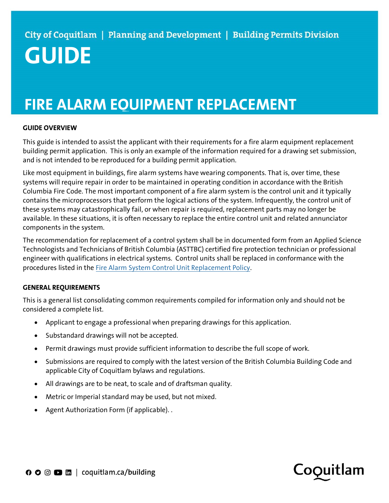# FIRE ALARM EQUIPMENT REPLACEMENT

## GUIDE OVERVIEW

This guide is intended to assist the applicant with their requirements for a fire alarm equipment replacement building permit application. This is only an example of the information required for a drawing set submission, and is not intended to be reproduced for a building permit application.

Like most equipment in buildings, fire alarm systems have wearing components. That is, over time, these systems will require repair in order to be maintained in operating condition in accordance with the British Columbia Fire Code. The most important component of a fire alarm system is the control unit and it typically contains the microprocessors that perform the logical actions of the system. Infrequently, the control unit of these systems may catastrophically fail, or when repair is required, replacement parts may no longer be available. In these situations, it is often necessary to replace the entire control unit and related annunciator components in the system.

The recommendation for replacement of a control system shall be in documented form from an Applied Science Technologists and Technicians of British Columbia (ASTTBC) certified fire protection technician or professional engineer with qualifications in electrical systems. Control units shall be replaced in conformance with the procedures listed in the Fire Alarm System Control Unit Replacement Policy.

# GENERAL REQUIREMENTS

This is a general list consolidating common requirements compiled for information only and should not be considered a complete list.

- Applicant to engage a professional when preparing drawings for this application.
- Substandard drawings will not be accepted.
- Permit drawings must provide sufficient information to describe the full scope of work.
- Submissions are required to comply with the latest version of the British Columbia Building Code and applicable City of Coquitlam bylaws and regulations.
- All drawings are to be neat, to scale and of draftsman quality.
- Metric or Imperial standard may be used, but not mixed.
- Agent Authorization Form (if applicable)..